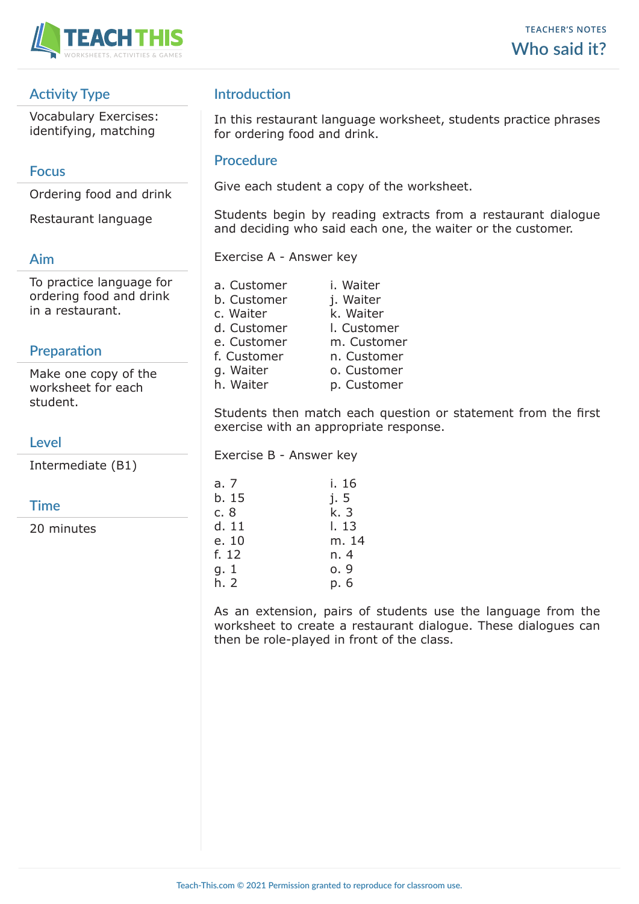

# **Activity Type**

Vocabulary Exercises: identifying, matching

### **Focus**

Ordering food and drink

Restaurant language

### **Aim**

To practice language for ordering food and drink in a restaurant.

# **Preparation**

Make one copy of the worksheet for each student.

# **Level**

Intermediate (B1)

# **Time**

20 minutes

# **Introduction**

In this restaurant language worksheet, students practice phrases for ordering food and drink.

#### **Procedure**

Give each student a copy of the worksheet.

Students begin by reading extracts from a restaurant dialogue and deciding who said each one, the waiter or the customer.

Exercise A - Answer key

a. Customer i. Waiter b. Customer j. Waiter c. Waiter  $k$ . Waiter d. Customer l. Customer e. Customer m. Customer f. Customer n. Customer g. Waiter o. Customer h. Waiter p. Customer

Students then match each question or statement from the first exercise with an appropriate response.

Exercise B - Answer key

| a. 7  | i. 16 |
|-------|-------|
| b. 15 | j.5   |
|       |       |
| c. 8  | k. 3  |
| d. 11 | l. 13 |
| e. 10 | m. 14 |
| f. 12 | n. 4  |
| g. 1  | 0.9   |
| h. 2  | p. 6  |

As an extension, pairs of students use the language from the worksheet to create a restaurant dialogue. These dialogues can then be role-played in front of the class.